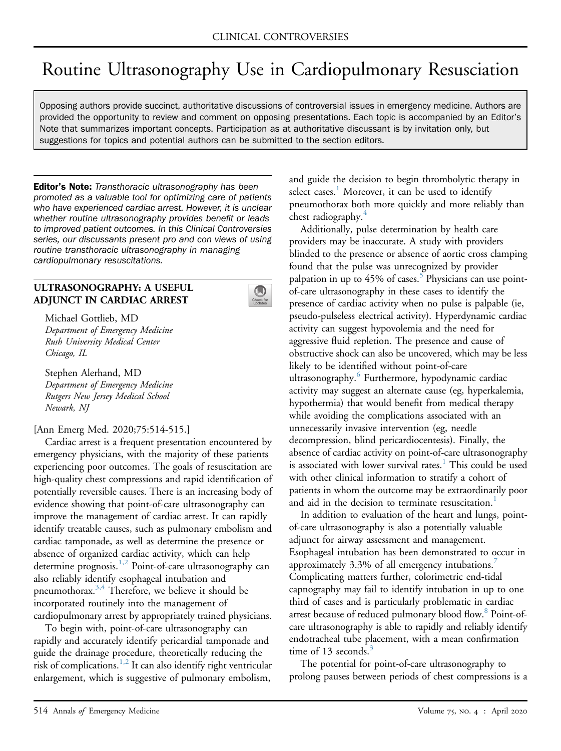# Routine Ultrasonography Use in Cardiopulmonary Resusciation

Opposing authors provide succinct, authoritative discussions of controversial issues in emergency medicine. Authors are provided the opportunity to review and comment on opposing presentations. Each topic is accompanied by an Editor's Note that summarizes important concepts. Participation as at authoritative discussant is by invitation only, but suggestions for topics and potential authors can be submitted to the section editors.

**Editor's Note:** Transthoracic ultrasonography has been promoted as a valuable tool for optimizing care of patients who have experienced cardiac arrest. However, it is unclear whether routine ultrasonography provides benefit or leads to improved patient outcomes. In this Clinical Controversies series, our discussants present pro and con views of using routine transthoracic ultrasonography in managing cardiopulmonary resuscitations.

## ULTRASONOGRAPHY: A USEFUL ADJUNCT IN CARDIAC ARREST



Michael Gottlieb, MD Department of Emergency Medicine Rush University Medical Center Chicago, IL

Stephen Alerhand, MD Department of Emergency Medicine Rutgers New Jersey Medical School Newark, NJ

### [Ann Emerg Med. 2020;75:514-515.]

Cardiac arrest is a frequent presentation encountered by emergency physicians, with the majority of these patients experiencing poor outcomes. The goals of resuscitation are high-quality chest compressions and rapid identification of potentially reversible causes. There is an increasing body of evidence showing that point-of-care ultrasonography can improve the management of cardiac arrest. It can rapidly identify treatable causes, such as pulmonary embolism and cardiac tamponade, as well as determine the presence or absence of organized cardiac activity, which can help determine prognosis[.1,2](#page-1-0) Point-of-care ultrasonography can also reliably identify esophageal intubation and pneumothorax.<sup>3,4</sup> Therefore, we believe it should be incorporated routinely into the management of cardiopulmonary arrest by appropriately trained physicians.

To begin with, point-of-care ultrasonography can rapidly and accurately identify pericardial tamponade and guide the drainage procedure, theoretically reducing the risk of complications.<sup>1,2</sup> It can also identify right ventricular enlargement, which is suggestive of pulmonary embolism,

and guide the decision to begin thrombolytic therapy in select cases.<sup>[1](#page-1-0)</sup> Moreover, it can be used to identify pneumothorax both more quickly and more reliably than chest radiography.<sup>[4](#page-1-2)</sup>

Additionally, pulse determination by health care providers may be inaccurate. A study with providers blinded to the presence or absence of aortic cross clamping found that the pulse was unrecognized by provider palpation in up to 4[5](#page-1-3)% of cases.<sup>5</sup> Physicians can use pointof-care ultrasonography in these cases to identify the presence of cardiac activity when no pulse is palpable (ie, pseudo-pulseless electrical activity). Hyperdynamic cardiac activity can suggest hypovolemia and the need for aggressive fluid repletion. The presence and cause of obstructive shock can also be uncovered, which may be less likely to be identified without point-of-care ultrasonography.<sup>[6](#page-1-4)</sup> Furthermore, hypodynamic cardiac activity may suggest an alternate cause (eg, hyperkalemia, hypothermia) that would benefit from medical therapy while avoiding the complications associated with an unnecessarily invasive intervention (eg, needle decompression, blind pericardiocentesis). Finally, the absence of cardiac activity on point-of-care ultrasonography is associated with lower survival rates.<sup>[1](#page-1-0)</sup> This could be used with other clinical information to stratify a cohort of patients in whom the outcome may be extraordinarily poor and aid in the decision to terminate resuscitation.<sup>1</sup>

In addition to evaluation of the heart and lungs, pointof-care ultrasonography is also a potentially valuable adjunct for airway assessment and management. Esophageal intubation has been demonstrated to occur in approximately 3.3% of all emergency intubations.<sup>[7](#page-1-5)</sup> Complicating matters further, colorimetric end-tidal capnography may fail to identify intubation in up to one third of cases and is particularly problematic in cardiac arrest because of reduced pulmonary blood flow. [8](#page-1-6) Point-ofcare ultrasonography is able to rapidly and reliably identify endotracheal tube placement, with a mean confirmation time of 13 seconds. $3$ 

The potential for point-of-care ultrasonography to prolong pauses between periods of chest compressions is a